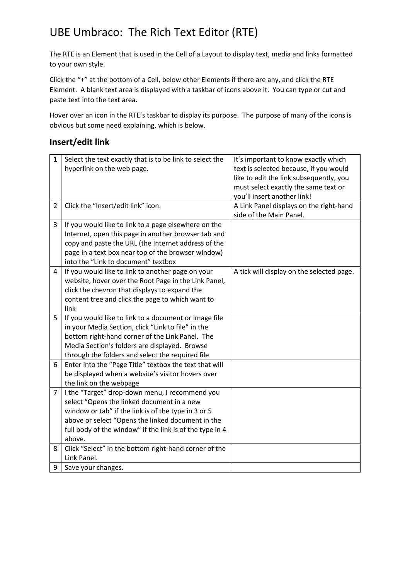## UBE Umbraco: The Rich Text Editor (RTE)

The RTE is an Element that is used in the Cell of a Layout to display text, media and links formatted to your own style.

Click the "+" at the bottom of a Cell, below other Elements if there are any, and click the RTE Element. A blank text area is displayed with a taskbar of icons above it. You can type or cut and paste text into the text area.

Hover over an icon in the RTE's taskbar to display its purpose. The purpose of many of the icons is obvious but some need explaining, which is below.

## **Insert/edit link**

| $\mathbf{1}$   | Select the text exactly that is to be link to select the | It's important to know exactly which      |
|----------------|----------------------------------------------------------|-------------------------------------------|
|                | hyperlink on the web page.                               | text is selected because, if you would    |
|                |                                                          | like to edit the link subsequently, you   |
|                |                                                          | must select exactly the same text or      |
|                |                                                          | you'll insert another link!               |
| $\overline{2}$ | Click the "Insert/edit link" icon.                       | A Link Panel displays on the right-hand   |
|                |                                                          | side of the Main Panel.                   |
| 3              | If you would like to link to a page elsewhere on the     |                                           |
|                | Internet, open this page in another browser tab and      |                                           |
|                | copy and paste the URL (the Internet address of the      |                                           |
|                | page in a text box near top of the browser window)       |                                           |
|                | into the "Link to document" textbox                      |                                           |
| 4              | If you would like to link to another page on your        | A tick will display on the selected page. |
|                | website, hover over the Root Page in the Link Panel,     |                                           |
|                | click the chevron that displays to expand the            |                                           |
|                | content tree and click the page to which want to         |                                           |
|                | link                                                     |                                           |
| 5              | If you would like to link to a document or image file    |                                           |
|                | in your Media Section, click "Link to file" in the       |                                           |
|                | bottom right-hand corner of the Link Panel. The          |                                           |
|                | Media Section's folders are displayed. Browse            |                                           |
|                | through the folders and select the required file         |                                           |
| 6              | Enter into the "Page Title" textbox the text that will   |                                           |
|                | be displayed when a website's visitor hovers over        |                                           |
|                | the link on the webpage                                  |                                           |
| 7              | I the "Target" drop-down menu, I recommend you           |                                           |
|                | select "Opens the linked document in a new               |                                           |
|                | window or tab" if the link is of the type in 3 or 5      |                                           |
|                | above or select "Opens the linked document in the        |                                           |
|                | full body of the window" if the link is of the type in 4 |                                           |
|                | above.                                                   |                                           |
| 8              | Click "Select" in the bottom right-hand corner of the    |                                           |
|                | Link Panel.                                              |                                           |
| 9              | Save your changes.                                       |                                           |